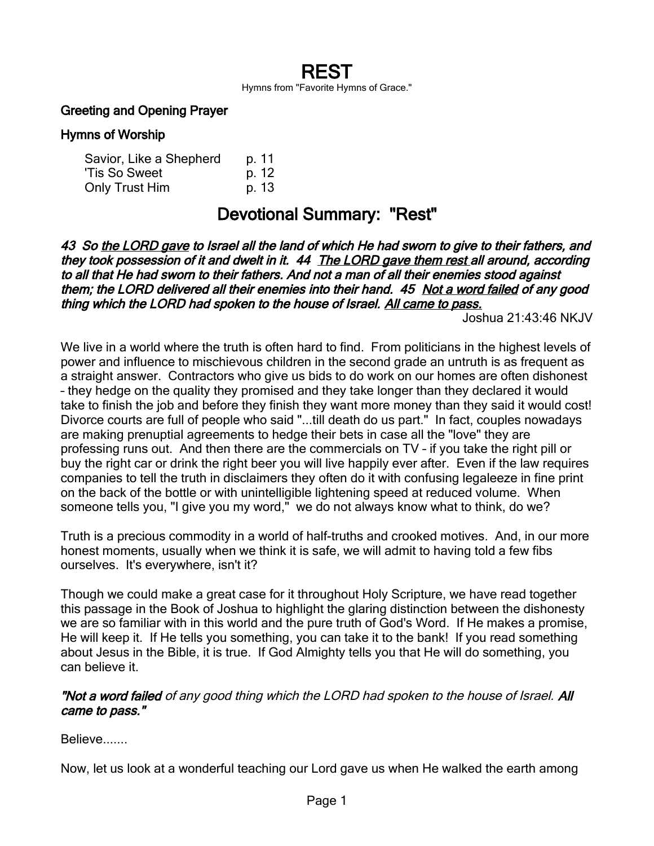# REST

Hymns from "Favorite Hymns of Grace."

#### Greeting and Opening Prayer

#### Hymns of Worship

| Savior, Like a Shepherd | p. 11 |
|-------------------------|-------|
| 'Tis So Sweet           | p. 12 |
| Only Trust Him          | p. 13 |

## Devotional Summary: "Rest"

43 So the LORD gave to Israel all the land of which He had sworn to give to their fathers, and they took possession of it and dwelt in it. 44 The LORD gave them rest all around, according to all that He had sworn to their fathers. And not a man of all their enemies stood against them; the LORD delivered all their enemies into their hand. 45 Not a word failed of any good thing which the LORD had spoken to the house of Israel. All came to pass.

Joshua 21:43:46 NKJV

We live in a world where the truth is often hard to find. From politicians in the highest levels of power and influence to mischievous children in the second grade an untruth is as frequent as a straight answer. Contractors who give us bids to do work on our homes are often dishonest – they hedge on the quality they promised and they take longer than they declared it would take to finish the job and before they finish they want more money than they said it would cost! Divorce courts are full of people who said "...till death do us part." In fact, couples nowadays are making prenuptial agreements to hedge their bets in case all the "love" they are professing runs out. And then there are the commercials on TV – if you take the right pill or buy the right car or drink the right beer you will live happily ever after. Even if the law requires companies to tell the truth in disclaimers they often do it with confusing legaleeze in fine print on the back of the bottle or with unintelligible lightening speed at reduced volume. When someone tells you, "I give you my word," we do not always know what to think, do we?

Truth is a precious commodity in a world of half-truths and crooked motives. And, in our more honest moments, usually when we think it is safe, we will admit to having told a few fibs ourselves. It's everywhere, isn't it?

Though we could make a great case for it throughout Holy Scripture, we have read together this passage in the Book of Joshua to highlight the glaring distinction between the dishonesty we are so familiar with in this world and the pure truth of God's Word. If He makes a promise, He will keep it. If He tells you something, you can take it to the bank! If you read something about Jesus in the Bible, it is true. If God Almighty tells you that He will do something, you can believe it.

#### "Not a word failed of any good thing which the LORD had spoken to the house of Israel. All came to pass."

Believe.......

Now, let us look at a wonderful teaching our Lord gave us when He walked the earth among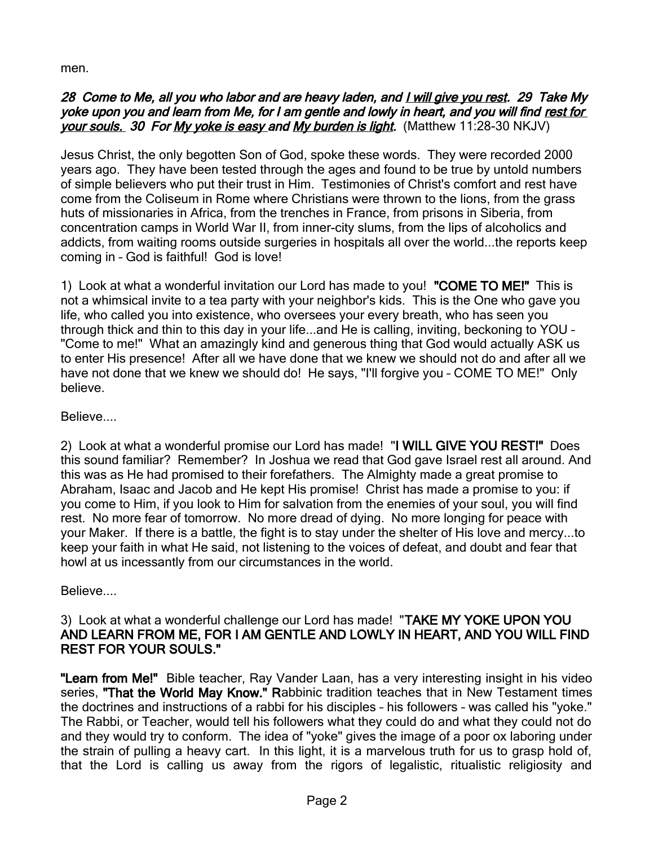men.

#### 28 Come to Me, all you who labor and are heavy laden, and I will give you rest. 29 Take My yoke upon you and learn from Me, for I am gentle and lowly in heart, and you will find rest for your souls. 30 For My yoke is easy and My burden is light. (Matthew 11:28-30 NKJV)

Jesus Christ, the only begotten Son of God, spoke these words. They were recorded 2000 years ago. They have been tested through the ages and found to be true by untold numbers of simple believers who put their trust in Him. Testimonies of Christ's comfort and rest have come from the Coliseum in Rome where Christians were thrown to the lions, from the grass huts of missionaries in Africa, from the trenches in France, from prisons in Siberia, from concentration camps in World War II, from inner-city slums, from the lips of alcoholics and addicts, from waiting rooms outside surgeries in hospitals all over the world...the reports keep coming in – God is faithful! God is love!

1) Look at what a wonderful invitation our Lord has made to you! "COME TO ME!" This is not a whimsical invite to a tea party with your neighbor's kids. This is the One who gave you life, who called you into existence, who oversees your every breath, who has seen you through thick and thin to this day in your life...and He is calling, inviting, beckoning to YOU – "Come to me!" What an amazingly kind and generous thing that God would actually ASK us to enter His presence! After all we have done that we knew we should not do and after all we have not done that we knew we should do! He says, "I'll forgive you – COME TO ME!" Only believe.

### Believe....

2) Look at what a wonderful promise our Lord has made! "I WILL GIVE YOU REST!" Does this sound familiar? Remember? In Joshua we read that God gave Israel rest all around. And this was as He had promised to their forefathers. The Almighty made a great promise to Abraham, Isaac and Jacob and He kept His promise! Christ has made a promise to you: if you come to Him, if you look to Him for salvation from the enemies of your soul, you will find rest. No more fear of tomorrow. No more dread of dying. No more longing for peace with your Maker. If there is a battle, the fight is to stay under the shelter of His love and mercy...to keep your faith in what He said, not listening to the voices of defeat, and doubt and fear that howl at us incessantly from our circumstances in the world.

Believe....

#### 3) Look at what a wonderful challenge our Lord has made! "TAKE MY YOKE UPON YOU AND LEARN FROM ME, FOR I AM GENTLE AND LOWLY IN HEART, AND YOU WILL FIND REST FOR YOUR SOULS."

"Learn from Me!" Bible teacher, Ray Vander Laan, has a very interesting insight in his video series, "That the World May Know." Rabbinic tradition teaches that in New Testament times the doctrines and instructions of a rabbi for his disciples – his followers – was called his "yoke." The Rabbi, or Teacher, would tell his followers what they could do and what they could not do and they would try to conform. The idea of "yoke" gives the image of a poor ox laboring under the strain of pulling a heavy cart. In this light, it is a marvelous truth for us to grasp hold of, that the Lord is calling us away from the rigors of legalistic, ritualistic religiosity and